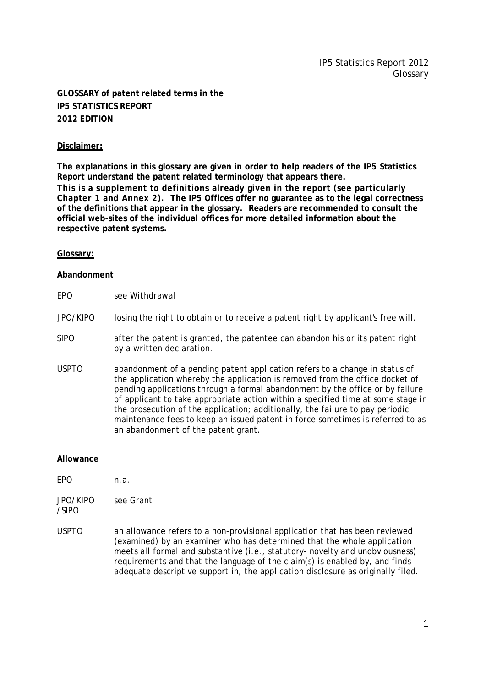# **GLOSSARY of patent related terms in the IP5 STATISTICS REPORT 2012 EDITION**

# **Disclaimer:**

**The explanations in this glossary are given in order to help readers of the IP5 Statistics Report understand the patent related terminology that appears there. This is a supplement to definitions already given in the report (see particularly Chapter 1 and Annex 2). The IP5 Offices offer no guarantee as to the legal correctness of the definitions that appear in the glossary. Readers are recommended to consult the official web-sites of the individual offices for more detailed information about the respective patent systems.**

## **Glossary:**

## **Abandonment**

EPO see *Withdrawal*

## JPO/KIPO losing the right to obtain or to receive a patent right by applicant's free will.

- SIPO after the patent is granted, the patentee can abandon his or its patent right by a written declaration.
- USPTO abandonment of a pending patent application refers to a change in status of the application whereby the application is removed from the office docket of pending applications through a formal abandonment by the office or by failure of applicant to take appropriate action within a specified time at some stage in the prosecution of the application; additionally, the failure to pay periodic maintenance fees to keep an issued patent in force sometimes is referred to as an abandonment of the patent grant.

#### **Allowance**

/SIPO

- EPO n.a.
- JPO/KIPO see *Grant*
- USPTO an allowance refers to a non-provisional application that has been reviewed (examined) by an examiner who has determined that the whole application meets all formal and substantive (i.e., statutory- novelty and unobviousness) requirements and that the language of the claim(s) is enabled by, and finds adequate descriptive support in, the application disclosure as originally filed.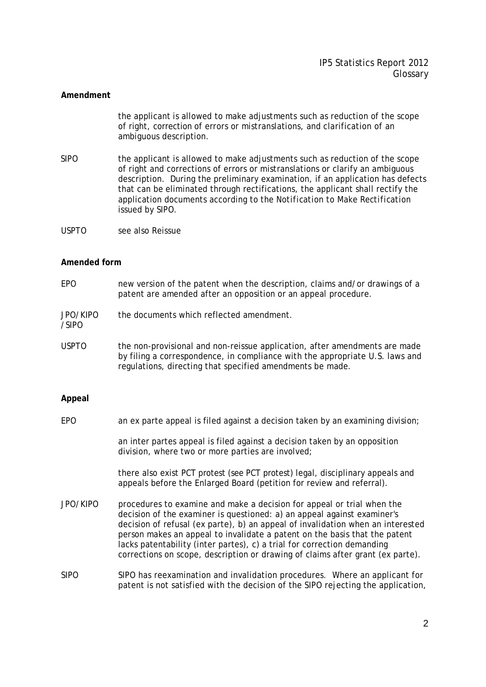## **Amendment**

the applicant is allowed to make adjustments such as reduction of the scope of right, correction of errors or mistranslations, and clarification of an ambiguous description.

- SIPO the applicant is allowed to make adjustments such as reduction of the scope of right and corrections of errors or mistranslations or clarify an ambiguous description. During the preliminary examination, if an application has defects that can be eliminated through rectifications, the applicant shall rectify the application documents according to the *Notification to Make Rectification* issued by SIPO.
- USPTO see also *Reissue*

#### **Amended form**

- EPO new version of the patent when the description, claims and/or drawings of a patent are amended after an opposition or an appeal procedure.
- JPO/KIPO the documents which reflected amendment.
- USPTO the non-provisional and non-reissue application, after amendments are made by filing a correspondence, in compliance with the appropriate U.S. laws and regulations, directing that specified amendments be made.

## **Appeal**

/SIPO

EPO an ex parte appeal is filed against a decision taken by an examining division;

an inter partes appeal is filed against a decision taken by an opposition division, where two or more parties are involved;

there also exist PCT protest (see PCT protest) legal, disciplinary appeals and appeals before the Enlarged Board (petition for review and referral).

- JPO/KIPO procedures to examine and make a decision for appeal or trial when the decision of the examiner is questioned: a) an appeal against examiner's decision of refusal (ex parte), b) an appeal of invalidation when an interested person makes an appeal to invalidate a patent on the basis that the patent lacks patentability (inter partes), c) a trial for correction demanding corrections on scope, description or drawing of claims after grant (ex parte).
- SIPO SIPO has reexamination and invalidation procedures. Where an applicant for patent is not satisfied with the decision of the SIPO rejecting the application,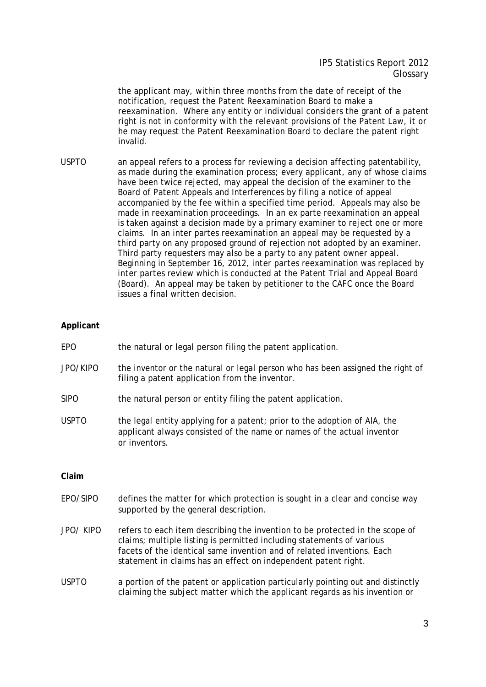the applicant may, within three months from the date of receipt of the notification, request the Patent Reexamination Board to make a reexamination. Where any entity or individual considers the grant of a patent right is not in conformity with the relevant provisions of the Patent Law, it or he may request the Patent Reexamination Board to declare the patent right invalid.

USPTO an appeal refers to a process for reviewing a decision affecting patentability, as made during the examination process; every applicant, any of whose claims have been twice rejected, may appeal the decision of the examiner to the Board of Patent Appeals and Interferences by filing a notice of appeal accompanied by the fee within a specified time period. Appeals may also be made in reexamination proceedings. In an ex parte reexamination an appeal is taken against a decision made by a primary examiner to reject one or more claims. In an inter partes reexamination an appeal may be requested by a third party on any proposed ground of rejection not adopted by an examiner. Third party requesters may also be a party to any patent owner appeal. Beginning in September 16, 2012, *inter partes* reexamination was replaced by *inter partes* review which is conducted at the Patent Trial and Appeal Board (Board). An appeal may be taken by petitioner to the CAFC once the Board issues a final written decision.

# **Applicant**

- EPO the natural or legal person filing the patent application.
- JPO/KIPO the inventor or the natural or legal person who has been assigned the right of filing a patent application from the inventor.
- SIPO the natural person or entity filing the patent application.
- USPTO the legal entity applying for a patent; prior to the adoption of AIA, the applicant always consisted of the name or names of the actual inventor or inventors.

#### **Claim**

- EPO/SIPO defines the matter for which protection is sought in a clear and concise way supported by the general description.
- JPO/ KIPO refers to each item describing the invention to be protected in the scope of claims; multiple listing is permitted including statements of various facets of the identical same invention and of related inventions. Each statement in claims has an effect on independent patent right.
- USPTO a portion of the patent or application particularly pointing out and distinctly claiming the subject matter which the applicant regards as his invention or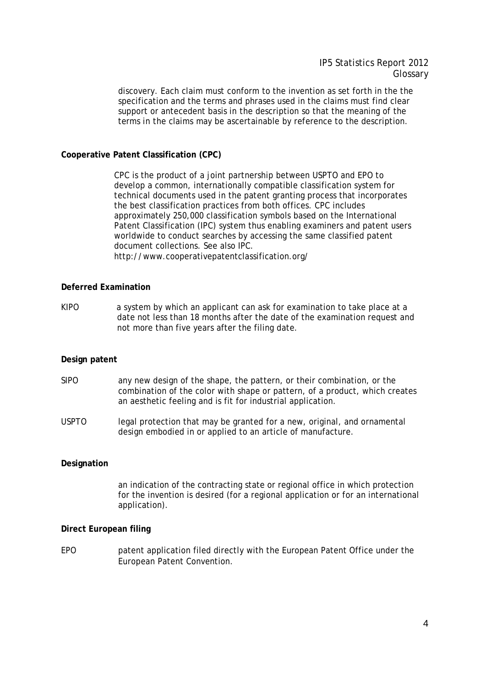discovery. Each claim must conform to the invention as set forth in the the specification and the terms and phrases used in the claims must find clear support or antecedent basis in the description so that the meaning of the terms in the claims may be ascertainable by reference to the description.

# **Cooperative Patent Classification (CPC)**

CPC is the product of a joint partnership between USPTO and EPO to develop a common, internationally compatible classification system for technical documents used in the patent granting process that incorporates the best classification practices from both offices. CPC includes approximately 250,000 classification symbols based on the International Patent Classification (IPC) system thus enabling examiners and patent users worldwide to conduct searches by accessing the same classified patent document collections. See also *IPC*. http://www.cooperativepatentclassification.org/

#### **Deferred Examination**

KIPO a system by which an applicant can ask for examination to take place at a date not less than 18 months after the date of the examination request and not more than five years after the filing date.

## **Design patent**

- SIPO any new design of the shape, the pattern, or their combination, or the combination of the color with shape or pattern, of a product, which creates an aesthetic feeling and is fit for industrial application.
- USPTO legal protection that may be granted for a new, original, and ornamental design embodied in or applied to an article of manufacture.

# **Designation**

an indication of the contracting state or regional office in which protection for the invention is desired (for a regional application or for an international application).

#### **Direct European filing**

EPO patent application filed directly with the European Patent Office under the European Patent Convention.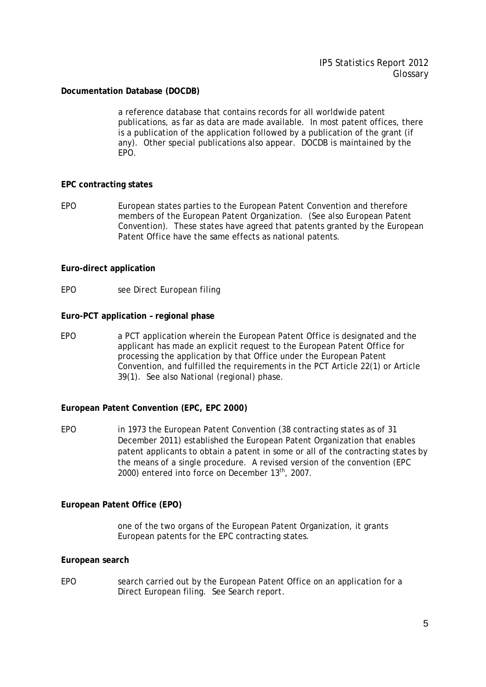# **Documentation Database (DOCDB)**

a reference database that contains records for all worldwide patent publications, as far as data are made available. In most patent offices, there is a publication of the application followed by a publication of the grant (if any). Other special publications also appear. DOCDB is maintained by the EPO.

## **EPC contracting states**

EPO European states parties to the European Patent Convention and therefore members of the European Patent Organization. (See also *European Patent Convention*). These states have agreed that patents granted by the European Patent Office have the same effects as national patents.

# **Euro-direct application**

EPO see *Direct European filing*

## **Euro-PCT application – regional phase**

EPO a PCT application wherein the European Patent Office is designated and the applicant has made an explicit request to the European Patent Office for processing the application by that Office under the European Patent Convention, and fulfilled the requirements in the PCT Article 22(1) or Article 39(1). See also *National (regional) phase*.

## **European Patent Convention (EPC, EPC 2000)**

EPO in 1973 the European Patent Convention (38 contracting states as of 31 December 2011) established the European Patent Organization that enables patent applicants to obtain a patent in some or all of the contracting states by the means of a single procedure. A revised version of the convention (EPC 2000) entered into force on December 13<sup>th</sup>, 2007.

## **European Patent Office (EPO)**

one of the two organs of the European Patent Organization, it grants European patents for the EPC contracting states.

## **European search**

EPO search carried out by the European Patent Office on an application for a Direct European filing. See *Search report*.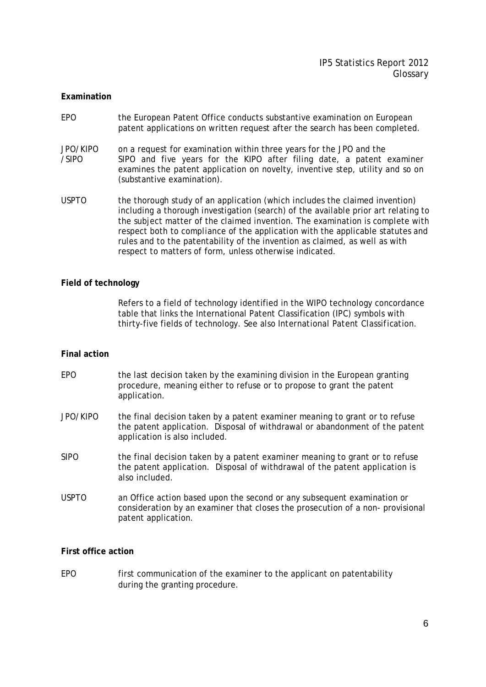#### **Examination**

- EPO the European Patent Office conducts substantive examination on European patent applications on written request after the search has been completed.
- JPO/KIPO on a request for examination within three years for the JPO and the /SIPO SIPO and five years for the KIPO after filing date, a patent examiner examines the patent application on novelty, inventive step, utility and so on (substantive examination).
- USPTO the thorough study of an application (which includes the claimed invention) including a thorough investigation (search) of the available prior art relating to the subject matter of the claimed invention. The examination is complete with respect both to compliance of the application with the applicable statutes and rules and to the patentability of the invention as claimed, as well as with respect to matters of form, unless otherwise indicated.

#### **Field of technology**

Refers to a field of technology identified in the WIPO technology concordance table that links the International Patent Classification (IPC) symbols with thirty-five fields of technology. See also *International Patent Classification*.

#### **Final action**

- EPO the last decision taken by the examining division in the European granting procedure, meaning either to refuse or to propose to grant the patent application.
- JPO/KIPO the final decision taken by a patent examiner meaning to grant or to refuse the patent application. Disposal of withdrawal or abandonment of the patent application is also included.
- SIPO the final decision taken by a patent examiner meaning to grant or to refuse the patent application. Disposal of withdrawal of the patent application is also included.
- USPTO an Office action based upon the second or any subsequent examination or consideration by an examiner that closes the prosecution of a non- provisional patent application.

# **First office action**

EPO first communication of the examiner to the applicant on patentability during the granting procedure.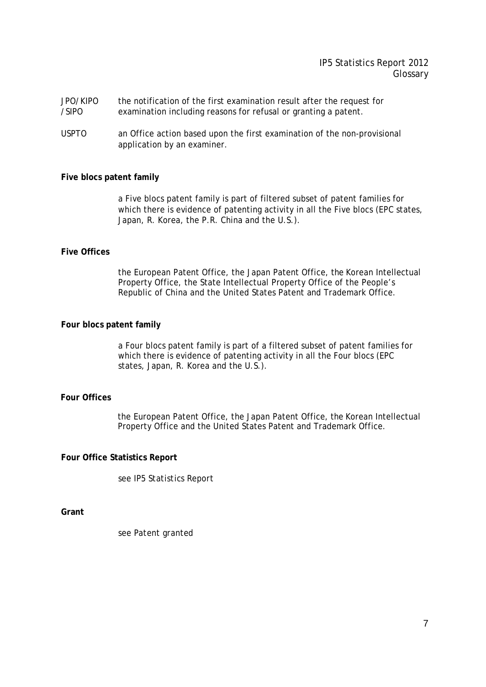# IP5 Statistics Report 2012 Glossary

- JPO/KIPO the notification of the first examination result after the request for /SIPO examination including reasons for refusal or granting a patent.
- USPTO an Office action based upon the first examination of the non-provisional application by an examiner.

#### **Five blocs patent family**

 a Five blocs patent family is part of filtered subset of patent families for which there is evidence of patenting activity in all the Five blocs (EPC states, Japan, R. Korea, the P.R. China and the U.S.).

#### **Five Offices**

the European Patent Office, the Japan Patent Office, the Korean Intellectual Property Office, the State Intellectual Property Office of the People's Republic of China and the United States Patent and Trademark Office.

#### **Four blocs patent family**

a Four blocs patent family is part of a filtered subset of patent families for which there is evidence of patenting activity in all the Four blocs (EPC states, Japan, R. Korea and the U.S.).

## **Four Offices**

the European Patent Office, the Japan Patent Office, the Korean Intellectual Property Office and the United States Patent and Trademark Office.

#### **Four Office Statistics Report**

see *IP5 Statistics Report*

**Grant**

see *Patent granted*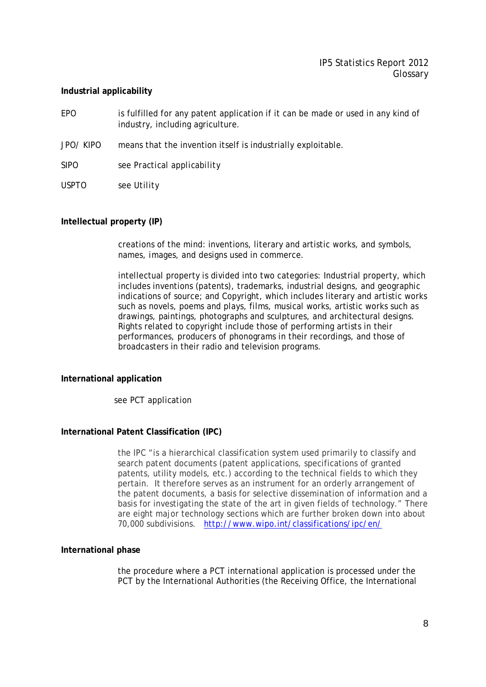# **Industrial applicability**

- EPO is fulfilled for any patent application if it can be made or used in any kind of industry, including agriculture.
- JPO/ KIPO means that the invention itself is industrially exploitable.

SIPO see *Practical applicability*

USPTO see *Utility*

# **Intellectual property (IP)**

creations of the mind: inventions, literary and artistic works, and symbols, names, images, and designs used in commerce.

intellectual property is divided into two categories: Industrial property, which includes inventions (patents), trademarks, industrial designs, and geographic indications of source; and Copyright, which includes literary and artistic works such as novels, poems and plays, films, musical works, artistic works such as drawings, paintings, photographs and sculptures, and architectural designs. Rights related to copyright include those of performing artists in their performances, producers of phonograms in their recordings, and those of broadcasters in their radio and television programs.

# **International application**

see *PCT application*

## **International Patent Classification (IPC)**

the IPC "is a hierarchical classification system used primarily to classify and search patent documents (patent applications, specifications of granted patents, utility models, etc.) according to the technical fields to which they pertain. It therefore serves as an instrument for an orderly arrangement of the patent documents, a basis for selective dissemination of information and a basis for investigating the state of the art in given fields of technology." There are eight major technology sections which are further broken down into about 70,000 subdivisions. http://www.wipo.int/classifications/ipc/en/

## **International phase**

the procedure where a PCT international application is processed under the PCT by the International Authorities (the Receiving Office, the International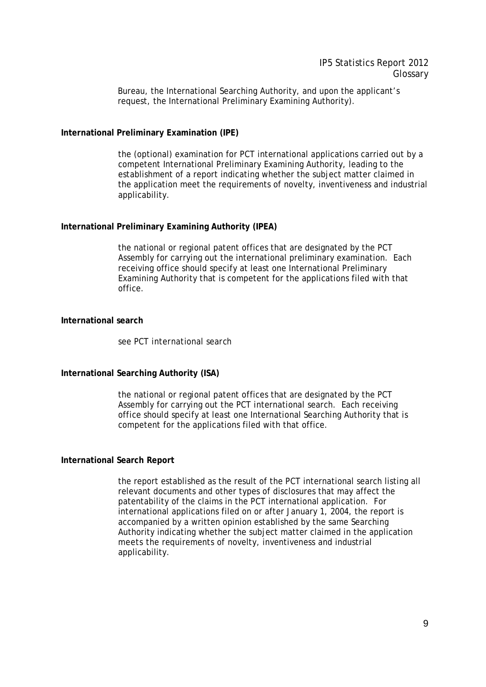Bureau, the International Searching Authority, and upon the applicant's request, the International Preliminary Examining Authority).

# **International Preliminary Examination (IPE)**

the (optional) examination for PCT international applications carried out by a competent International Preliminary Examining Authority, leading to the establishment of a report indicating whether the subject matter claimed in the application meet the requirements of novelty, inventiveness and industrial applicability.

## **International Preliminary Examining Authority (IPEA)**

the national or regional patent offices that are designated by the PCT Assembly for carrying out the international preliminary examination. Each receiving office should specify at least one International Preliminary Examining Authority that is competent for the applications filed with that office.

# **International search**

see *PCT international search*

# **International Searching Authority (ISA)**

the national or regional patent offices that are designated by the PCT Assembly for carrying out the PCT international search. Each receiving office should specify at least one International Searching Authority that is competent for the applications filed with that office.

## **International Search Report**

the report established as the result of the PCT international search listing all relevant documents and other types of disclosures that may affect the patentability of the claims in the PCT international application. For international applications filed on or after January 1, 2004, the report is accompanied by a written opinion established by the same Searching Authority indicating whether the subject matter claimed in the application meets the requirements of novelty, inventiveness and industrial applicability.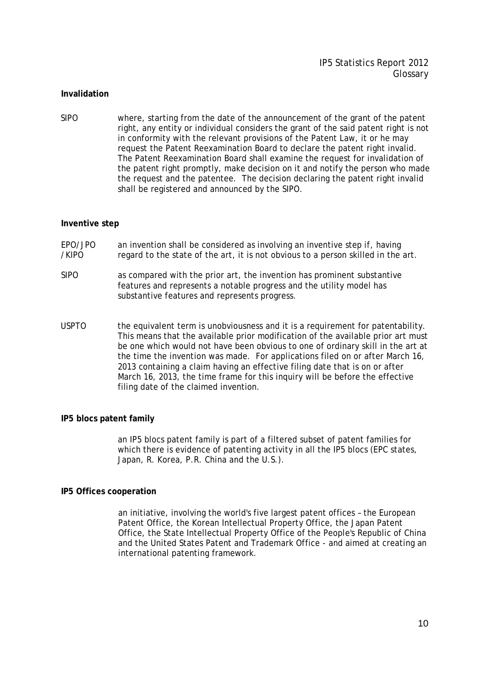#### **Invalidation**

SIPO where, starting from the date of the announcement of the grant of the patent right, any entity or individual considers the grant of the said patent right is not in conformity with the relevant provisions of the Patent Law, it or he may request the Patent Reexamination Board to declare the patent right invalid. The Patent Reexamination Board shall examine the request for invalidation of the patent right promptly, make decision on it and notify the person who made the request and the patentee. The decision declaring the patent right invalid shall be registered and announced by the SIPO.

#### **Inventive step**

- EPO/JPO an invention shall be considered as involving an inventive step if, having /KIPO regard to the state of the art, it is not obvious to a person skilled in the art.
- SIPO as compared with the prior art, the invention has prominent substantive features and represents a notable progress and the utility model has substantive features and represents progress.
- USPTO the equivalent term is unobviousness and it is a requirement for patentability. This means that the available prior modification of the available prior art must be one which would not have been obvious to one of ordinary skill in the art at the time the invention was made. For applications filed on or after March 16, 2013 containing a claim having an effective filing date that is on or after March 16, 2013, the time frame for this inquiry will be before the effective filing date of the claimed invention.

#### **IP5 blocs patent family**

an IP5 blocs patent family is part of a filtered subset of patent families for which there is evidence of patenting activity in all the IP5 blocs (EPC states, Japan, R. Korea, P.R. China and the U.S.).

#### **IP5 Offices cooperation**

an initiative, involving the world's five largest patent offices – the European Patent Office, the Korean Intellectual Property Office, the Japan Patent Office, the State Intellectual Property Office of the People's Republic of China and the United States Patent and Trademark Office - and aimed at creating an international patenting framework.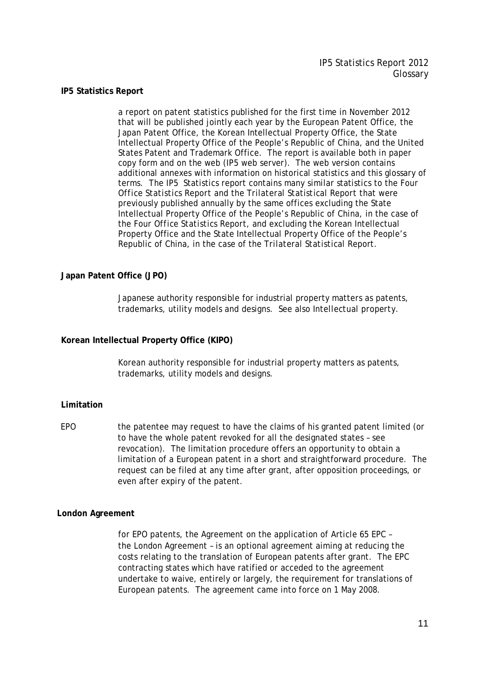#### **IP5 Statistics Report**

a report on patent statistics published for the first time in November 2012 that will be published jointly each year by the European Patent Office, the Japan Patent Office, the Korean Intellectual Property Office, the State Intellectual Property Office of the People's Republic of China, and the United States Patent and Trademark Office. The report is available both in paper copy form and on the web (IP5 web server). The web version contains additional annexes with information on historical statistics and this glossary of terms. The IP5 Statistics report contains many similar statistics to the *Four Office Statistics Report* and the *Trilateral Statistical Report* that were previously published annually by the same offices excluding the State Intellectual Property Office of the People's Republic of China, in the case of the *Four Office Statistics Report*, and excluding the Korean Intellectual Property Office and the State Intellectual Property Office of the People's Republic of China, in the case of the *Trilateral Statistical* Report.

## **Japan Patent Office (JPO)**

Japanese authority responsible for industrial property matters as patents, trademarks, utility models and designs. See also *Intellectual property*.

#### **Korean Intellectual Property Office (KIPO)**

Korean authority responsible for industrial property matters as patents, trademarks, utility models and designs.

#### **Limitation**

EPO the patentee may request to have the claims of his granted patent limited (or to have the whole patent revoked for all the designated states – see revocation). The limitation procedure offers an opportunity to obtain a limitation of a European patent in a short and straightforward procedure. The request can be filed at any time after grant, after opposition proceedings, or even after expiry of the patent.

#### **London Agreement**

for EPO patents, the Agreement on the application of Article 65 EPC – the London Agreement – is an optional agreement aiming at reducing the costs relating to the translation of European patents after grant. The EPC contracting states which have ratified or acceded to the agreement undertake to waive, entirely or largely, the requirement for translations of European patents. The agreement came into force on 1 May 2008.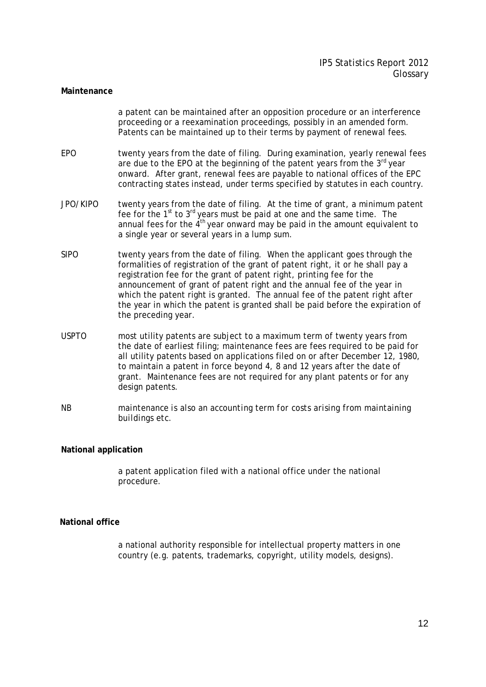#### **Maintenance**

a patent can be maintained after an opposition procedure or an interference proceeding or a reexamination proceedings, possibly in an amended form. Patents can be maintained up to their terms by payment of renewal fees.

- EPO twenty years from the date of filing. During examination, yearly renewal fees are due to the EPO at the beginning of the patent years from the  $3<sup>rd</sup>$  year onward. After grant, renewal fees are payable to national offices of the EPC contracting states instead, under terms specified by statutes in each country.
- JPO/KIPO twenty years from the date of filing. At the time of grant, a minimum patent fee for the  $1<sup>st</sup>$  to  $3<sup>rd</sup>$  years must be paid at one and the same time. The annual fees for the  $4<sup>th</sup>$  year onward may be paid in the amount equivalent to a single year or several years in a lump sum.
- SIPO twenty years from the date of filing. When the applicant goes through the formalities of registration of the grant of patent right, it or he shall pay a registration fee for the grant of patent right, printing fee for the announcement of grant of patent right and the annual fee of the year in which the patent right is granted. The annual fee of the patent right after the year in which the patent is granted shall be paid before the expiration of the preceding year.
- USPTO most utility patents are subject to a maximum term of twenty years from the date of earliest filing; maintenance fees are fees required to be paid for all utility patents based on applications filed on or after December 12, 1980, to maintain a patent in force beyond 4, 8 and 12 years after the date of grant. Maintenance fees are not required for any plant patents or for any design patents.
- *NB maintenance is also an accounting term for costs arising from maintaining buildings etc.*

#### **National application**

a patent application filed with a national office under the national procedure.

## **National office**

a national authority responsible for intellectual property matters in one country (e.g. patents, trademarks, copyright, utility models, designs).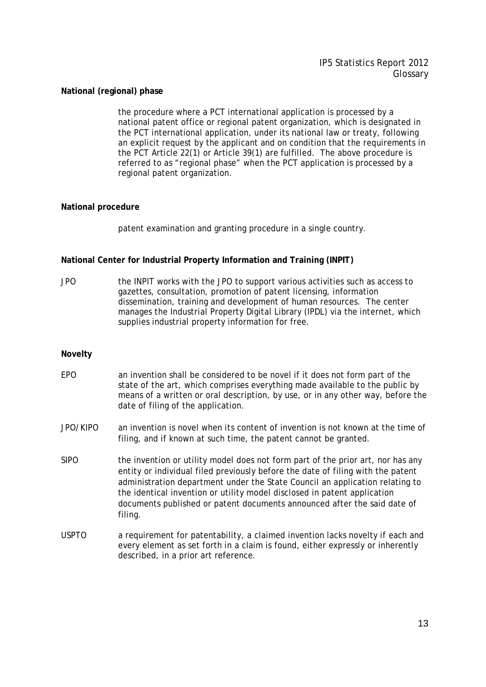# **National (regional) phase**

the procedure where a PCT international application is processed by a national patent office or regional patent organization, which is designated in the PCT international application, under its national law or treaty, following an explicit request by the applicant and on condition that the requirements in the PCT Article 22(1) or Article 39(1) are fulfilled. The above procedure is referred to as "regional phase" when the PCT application is processed by a regional patent organization.

# **National procedure**

patent examination and granting procedure in a single country.

# **National Center for Industrial Property Information and Training (INPIT)**

JPO the INPIT works with the JPO to support various activities such as access to gazettes, consultation, promotion of patent licensing, information dissemination, training and development of human resources. The center manages the Industrial Property Digital Library (IPDL) via the internet, which supplies industrial property information for free.

## **Novelty**

- EPO an invention shall be considered to be novel if it does not form part of the state of the art, which comprises everything made available to the public by means of a written or oral description, by use, or in any other way, before the date of filing of the application.
- JPO/KIPO an invention is novel when its content of invention is not known at the time of filing, and if known at such time, the patent cannot be granted.
- SIPO the invention or utility model does not form part of the prior art, nor has any entity or individual filed previously before the date of filing with the patent administration department under the State Council an application relating to the identical invention or utility model disclosed in patent application documents published or patent documents announced after the said date of filing.
- USPTO a requirement for patentability, a claimed invention lacks novelty if each and every element as set forth in a claim is found, either expressly or inherently described, in a prior art reference.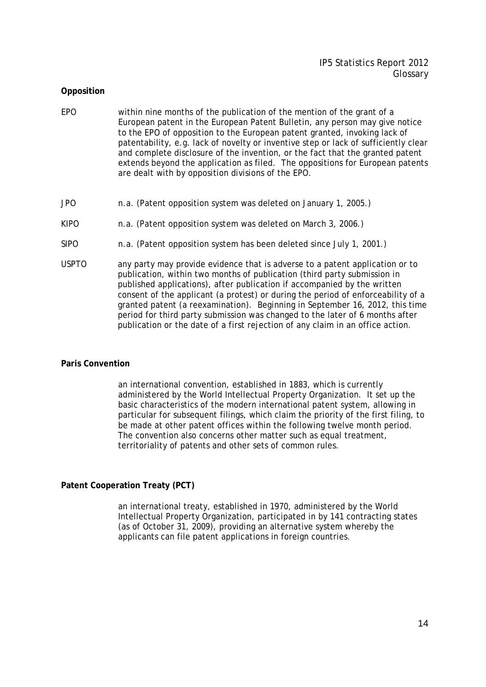# **Opposition**

- EPO within nine months of the publication of the mention of the grant of a European patent in the European Patent Bulletin, any person may give notice to the EPO of opposition to the European patent granted, invoking lack of patentability, e.g. lack of novelty or inventive step or lack of sufficiently clear and complete disclosure of the invention, or the fact that the granted patent extends beyond the application as filed. The oppositions for European patents are dealt with by opposition divisions of the EPO.
- JPO n.a. (Patent opposition system was deleted on January 1, 2005.)
- KIPO n.a. (Patent opposition system was deleted on March 3, 2006.)
- SIPO n.a. (Patent opposition system has been deleted since July 1, 2001.)
- USPTO any party may provide evidence that is adverse to a patent application or to publication, within two months of publication (third party submission in published applications), after publication if accompanied by the written consent of the applicant (a protest) or during the period of enforceability of a granted patent (a reexamination). Beginning in September 16, 2012, this time period for third party submission was changed to the later of 6 months after publication or the date of a first rejection of any claim in an office action.

## **Paris Convention**

an international convention, established in 1883, which is currently administered by the World Intellectual Property Organization. It set up the basic characteristics of the modern international patent system, allowing in particular for subsequent filings, which claim the priority of the first filing, to be made at other patent offices within the following twelve month period. The convention also concerns other matter such as equal treatment, territoriality of patents and other sets of common rules.

## **Patent Cooperation Treaty (PCT)**

an international treaty, established in 1970, administered by the World Intellectual Property Organization, participated in by 141 contracting states (as of October 31, 2009), providing an alternative system whereby the applicants can file patent applications in foreign countries.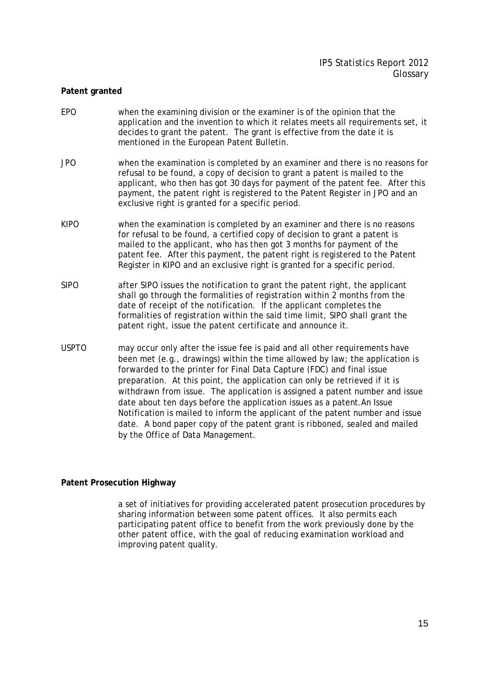## **Patent granted**

- EPO when the examining division or the examiner is of the opinion that the application and the invention to which it relates meets all requirements set, it decides to grant the patent. The grant is effective from the date it is mentioned in the European Patent Bulletin.
- JPO when the examination is completed by an examiner and there is no reasons for refusal to be found, a copy of decision to grant a patent is mailed to the applicant, who then has got 30 days for payment of the patent fee. After this payment, the patent right is registered to the Patent Register in JPO and an exclusive right is granted for a specific period.
- KIPO when the examination is completed by an examiner and there is no reasons for refusal to be found, a certified copy of decision to grant a patent is mailed to the applicant, who has then got 3 months for payment of the patent fee. After this payment, the patent right is registered to the Patent Register in KIPO and an exclusive right is granted for a specific period.
- SIPO after SIPO issues the notification to grant the patent right, the applicant shall go through the formalities of registration within 2 months from the date of receipt of the notification. If the applicant completes the formalities of registration within the said time limit, SIPO shall grant the patent right, issue the patent certificate and announce it.
- USPTO may occur only after the issue fee is paid and all other requirements have been met (e.g., drawings) within the time allowed by law; the application is forwarded to the printer for Final Data Capture (FDC) and final issue preparation. At this point, the application can only be retrieved if it is withdrawn from issue. The application is assigned a patent number and issue date about ten days before the application issues as a patent.An Issue Notification is mailed to inform the applicant of the patent number and issue date. A bond paper copy of the patent grant is ribboned, sealed and mailed by the Office of Data Management.

# **Patent Prosecution Highway**

a set of initiatives for providing accelerated patent prosecution procedures by sharing information between some patent offices. It also permits each participating patent office to benefit from the work previously done by the other patent office, with the goal of reducing examination workload and improving patent quality.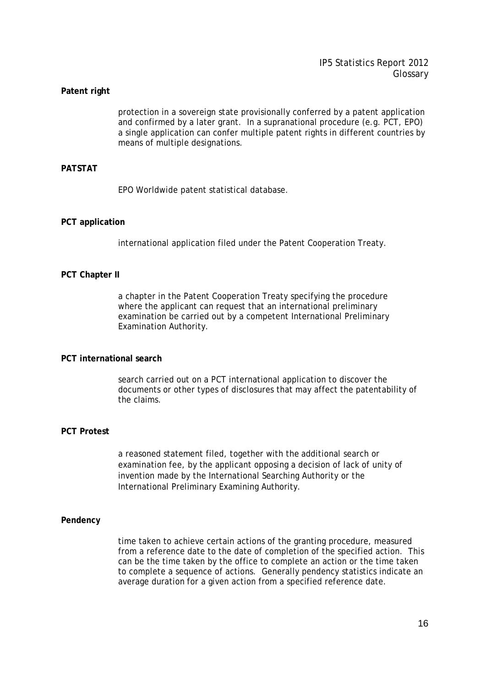#### **Patent right**

protection in a sovereign state provisionally conferred by a patent application and confirmed by a later grant. In a supranational procedure (e.g. PCT, EPO) a single application can confer multiple patent rights in different countries by means of multiple designations.

# **PATSTAT**

EPO Worldwide patent statistical database.

#### **PCT application**

international application filed under the Patent Cooperation Treaty.

#### **PCT Chapter II**

a chapter in the Patent Cooperation Treaty specifying the procedure where the applicant can request that an international preliminary examination be carried out by a competent International Preliminary Examination Authority.

#### **PCT international search**

search carried out on a PCT international application to discover the documents or other types of disclosures that may affect the patentability of the claims.

#### **PCT Protest**

a reasoned statement filed, together with the additional search or examination fee, by the applicant opposing a decision of lack of unity of invention made by the International Searching Authority or the International Preliminary Examining Authority.

#### **Pendency**

time taken to achieve certain actions of the granting procedure, measured from a reference date to the date of completion of the specified action. This can be the time taken by the office to complete an action or the time taken to complete a sequence of actions. Generally pendency statistics indicate an average duration for a given action from a specified reference date.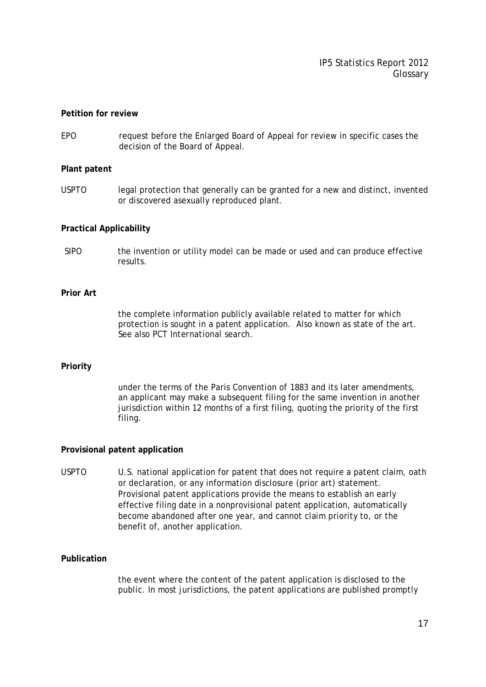#### **Petition for review**

EPO request before the Enlarged Board of Appeal for review in specific cases the decision of the Board of Appeal.

#### **Plant patent**

USPTO legal protection that generally can be granted for a new and distinct, invented or discovered asexually reproduced plant.

#### **Practical Applicability**

SIPO the invention or utility model can be made or used and can produce effective results.

## **Prior Art**

the complete information publicly available related to matter for which protection is sought in a patent application. Also known as state of the art. See also *PCT International search*.

#### **Priority**

under the terms of the Paris Convention of 1883 and its later amendments, an applicant may make a subsequent filing for the same invention in another jurisdiction within 12 months of a first filing, quoting the priority of the first filing.

#### **Provisional patent application**

USPTO U.S. national application for patent that does not require a patent claim, oath or declaration, or any information disclosure (prior art) statement. Provisional patent applications provide the means to establish an early effective filing date in a nonprovisional patent application, automatically become abandoned after one year, and cannot claim priority to, or the benefit of, another application.

#### **Publication**

the event where the content of the patent application is disclosed to the public. In most jurisdictions, the patent applications are published promptly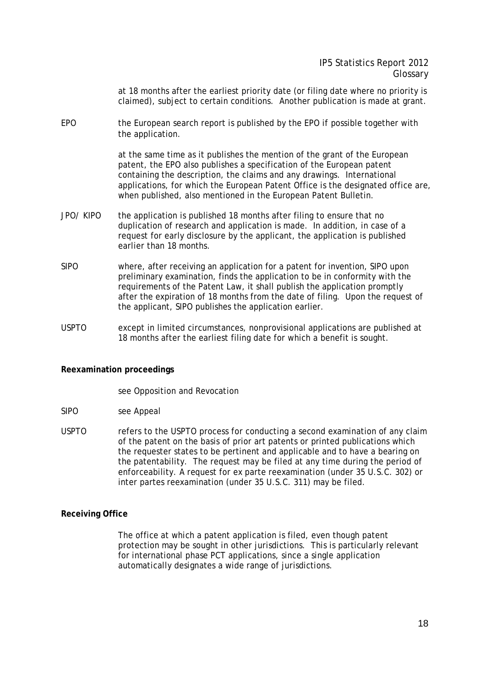at 18 months after the earliest priority date (or filing date where no priority is claimed), subject to certain conditions. Another publication is made at grant.

EPO the European search report is published by the EPO if possible together with the application.

> at the same time as it publishes the mention of the grant of the European patent, the EPO also publishes a specification of the European patent containing the description, the claims and any drawings. International applications, for which the European Patent Office is the designated office are, when published, also mentioned in the European Patent Bulletin.

- JPO/ KIPO the application is published 18 months after filing to ensure that no duplication of research and application is made. In addition, in case of a request for early disclosure by the applicant, the application is published earlier than 18 months.
- SIPO where, after receiving an application for a patent for invention, SIPO upon preliminary examination, finds the application to be in conformity with the requirements of the Patent Law, it shall publish the application promptly after the expiration of 18 months from the date of filing. Upon the request of the applicant, SIPO publishes the application earlier.
- USPTO except in limited circumstances, nonprovisional applications are published at 18 months after the earliest filing date for which a benefit is sought.

## **Reexamination proceedings**

## see *Opposition* and *Revocation*

- SIPO see *Appeal*
- USPTO refers to the USPTO process for conducting a second examination of any claim of the patent on the basis of prior art patents or printed publications which the requester states to be pertinent and applicable and to have a bearing on the patentability. The request may be filed at any time during the period of enforceability. A request for ex parte reexamination (under 35 U.S.C. 302) or inter partes reexamination (under 35 U.S.C. 311) may be filed.

## **Receiving Office**

The office at which a patent application is filed, even though patent protection may be sought in other jurisdictions. This is particularly relevant for international phase PCT applications, since a single application automatically designates a wide range of jurisdictions.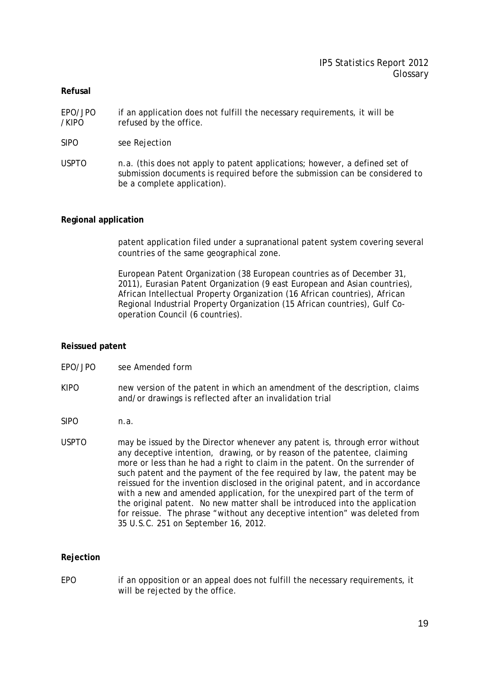# IP5 Statistics Report 2012 Glossary

## **Refusal**

- EPO/JPO if an application does not fulfill the necessary requirements, it will be /KIPO refused by the office.
- SIPO see *Rejection*
- USPTO n.a. (this does not apply to patent applications; however, a defined set of submission documents is required before the submission can be considered to be a complete application).

# **Regional application**

patent application filed under a supranational patent system covering several countries of the same geographical zone.

European Patent Organization (38 European countries as of December 31, 2011), Eurasian Patent Organization (9 east European and Asian countries), African Intellectual Property Organization (16 African countries), African Regional Industrial Property Organization (15 African countries), Gulf Cooperation Council (6 countries).

# **Reissued patent**

- EPO/JPO see *Amended form*
- KIPO new version of the patent in which an amendment of the description, claims and/or drawings is reflected after an invalidation trial
- SIPO n.a.
- USPTO may be issued by the Director whenever any patent is, through error without any deceptive intention, drawing, or by reason of the patentee, claiming more or less than he had a right to claim in the patent. On the surrender of such patent and the payment of the fee required by law, the patent may be reissued for the invention disclosed in the original patent, and in accordance with a new and amended application, for the unexpired part of the term of the original patent. No new matter shall be introduced into the application for reissue. The phrase "without any deceptive intention" was deleted from 35 U.S.C. 251 on September 16, 2012.

## **Rejection**

EPO if an opposition or an appeal does not fulfill the necessary requirements, it will be rejected by the office.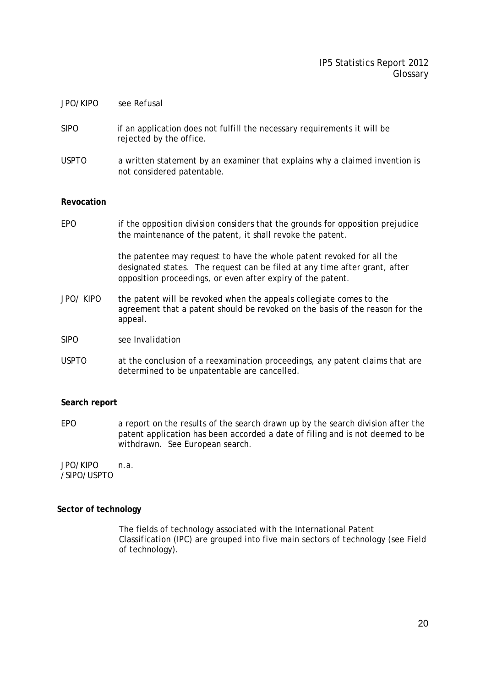# IP5 Statistics Report 2012 Glossary

#### JPO/KIPO see *Refusal*

- SIPO if an application does not fulfill the necessary requirements it will be rejected by the office.
- USPTO a written statement by an examiner that explains why a claimed invention is not considered patentable.

#### **Revocation**

EPO if the opposition division considers that the grounds for opposition prejudice the maintenance of the patent, it shall revoke the patent.

> the patentee may request to have the whole patent revoked for all the designated states. The request can be filed at any time after grant, after opposition proceedings, or even after expiry of the patent.

- JPO/ KIPO the patent will be revoked when the appeals collegiate comes to the agreement that a patent should be revoked on the basis of the reason for the appeal.
- SIPO see *Invalidation*
- USPTO at the conclusion of a reexamination proceedings, any patent claims that are determined to be unpatentable are cancelled.

#### **Search report**

EPO a report on the results of the search drawn up by the search division after the patent application has been accorded a date of filing and is not deemed to be withdrawn. See *European search*.

JPO/KIPO n.a. /SIPO/USPTO

## **Sector of technology**

The fields of technology associated with the International Patent Classification (IPC) are grouped into five main sectors of technology (see Field of technology).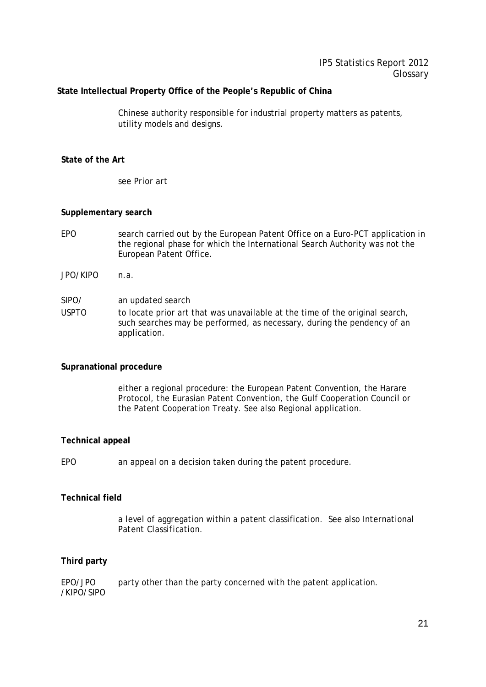# **State Intellectual Property Office of the People's Republic of China**

Chinese authority responsible for industrial property matters as patents, utility models and designs.

# **State of the Art**

see *Prior art* 

# **Supplementary search**

- EPO search carried out by the European Patent Office on a Euro-PCT application in the regional phase for which the International Search Authority was not the European Patent Office.
- JPO/KIPO n.a.

SIPO/ an updated search

USPTO to locate prior art that was unavailable at the time of the original search, such searches may be performed, as necessary, during the pendency of an application.

## **Supranational procedure**

either a regional procedure: the European Patent Convention, the Harare Protocol, the Eurasian Patent Convention, the Gulf Cooperation Council or the Patent Cooperation Treaty. See also *Regional application*.

## **Technical appeal**

EPO an appeal on a decision taken during the patent procedure.

## **Technical field**

a level of aggregation within a patent classification. See also *International Patent Classification*.

## **Third party**

EPO/JPO party other than the party concerned with the patent application. /KIPO/SIPO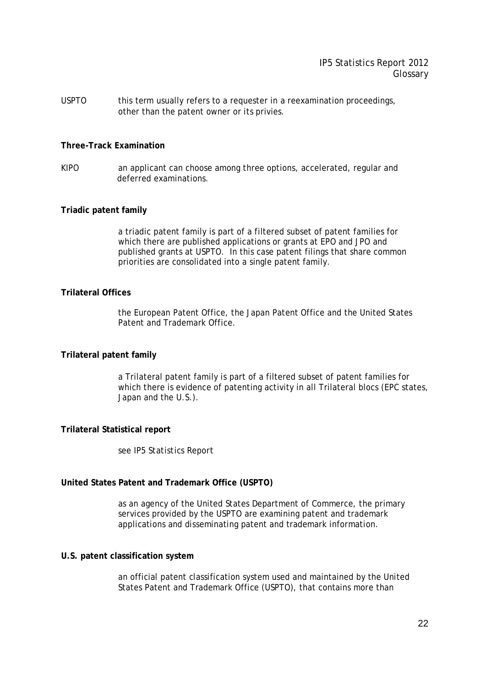USPTO this term usually refers to a requester in a reexamination proceedings, other than the patent owner or its privies.

#### **Three-Track Examination**

KIPO an applicant can choose among three options, accelerated, regular and deferred examinations.

# **Triadic patent family**

a triadic patent family is part of a filtered subset of patent families for which there are published applications or grants at EPO and JPO and published grants at USPTO. In this case patent filings that share common priorities are consolidated into a single patent family.

# **Trilateral Offices**

the European Patent Office, the Japan Patent Office and the United States Patent and Trademark Office.

## **Trilateral patent family**

a Trilateral patent family is part of a filtered subset of patent families for which there is evidence of patenting activity in all Trilateral blocs (EPC states, Japan and the U.S.).

#### **Trilateral Statistical report**

see *IP5 Statistics Report*

## **United States Patent and Trademark Office (USPTO)**

as an agency of the United States Department of Commerce, the primary services provided by the USPTO are examining patent and trademark applications and disseminating patent and trademark information.

#### **U.S. patent classification system**

an official patent classification system used and maintained by the United States Patent and Trademark Office (USPTO), that contains more than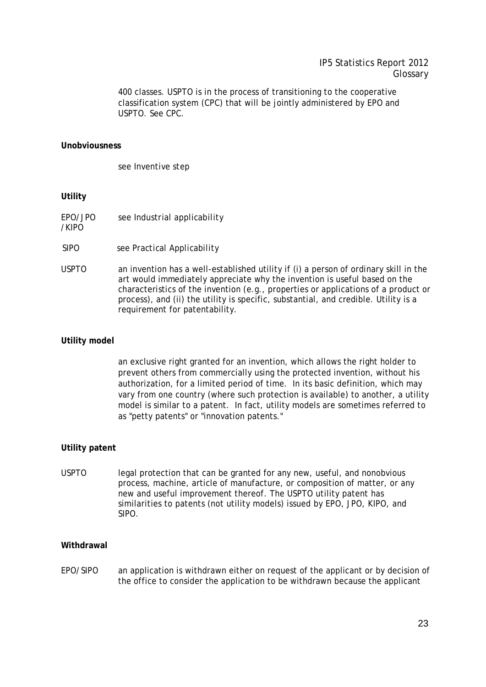400 classes. USPTO is in the process of transitioning to the cooperative classification system (CPC) that will be jointly administered by EPO and USPTO. See *CPC*.

#### **Unobviousness**

see *Inventive step*

#### **Utility**

- EPO/JPO see *Industrial applicability*
- /KIPO
- SIPO see *Practical Applicability*
- USPTO an invention has a well-established utility if (i) a person of ordinary skill in the art would immediately appreciate why the invention is useful based on the characteristics of the invention (e.g., properties or applications of a product or process), and (ii) the utility is specific, substantial, and credible. Utility is a requirement for patentability.

#### **Utility model**

an exclusive right granted for an invention, which allows the right holder to prevent others from commercially using the protected invention, without his authorization, for a limited period of time. In its basic definition, which may vary from one country (where such protection is available) to another, a utility model is similar to a patent. In fact, utility models are sometimes referred to as "petty patents" or "innovation patents."

## **Utility patent**

USPTO legal protection that can be granted for any new, useful, and nonobvious process, machine, article of manufacture, or composition of matter, or any new and useful improvement thereof. The USPTO utility patent has similarities to patents (not utility models) issued by EPO, JPO, KIPO, and SIPO.

#### **Withdrawal**

EPO/SIPO an application is withdrawn either on request of the applicant or by decision of the office to consider the application to be withdrawn because the applicant